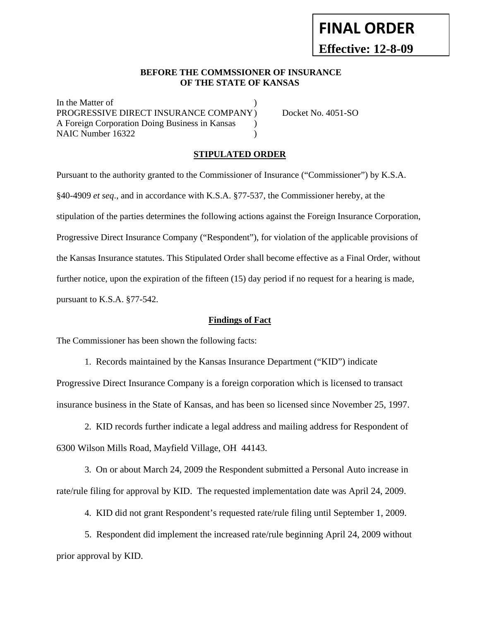# **Effective: 12-8-09**

**FINAL ORDER**

#### **BEFORE THE COMMSSIONER OF INSURANCE OF THE STATE OF KANSAS**

In the Matter of PROGRESSIVE DIRECT INSURANCE COMPANY ) Docket No. 4051-SO A Foreign Corporation Doing Business in Kansas ) NAIC Number 16322 (a)

### **STIPULATED ORDER**

Pursuant to the authority granted to the Commissioner of Insurance ("Commissioner") by K.S.A. §40-4909 *et seq*., and in accordance with K.S.A. §77-537, the Commissioner hereby, at the stipulation of the parties determines the following actions against the Foreign Insurance Corporation, Progressive Direct Insurance Company ("Respondent"), for violation of the applicable provisions of the Kansas Insurance statutes. This Stipulated Order shall become effective as a Final Order, without further notice, upon the expiration of the fifteen (15) day period if no request for a hearing is made, pursuant to K.S.A. §77-542.

#### **Findings of Fact**

The Commissioner has been shown the following facts:

 1. Records maintained by the Kansas Insurance Department ("KID") indicate Progressive Direct Insurance Company is a foreign corporation which is licensed to transact insurance business in the State of Kansas, and has been so licensed since November 25, 1997.

 2. KID records further indicate a legal address and mailing address for Respondent of 6300 Wilson Mills Road, Mayfield Village, OH 44143.

 3. On or about March 24, 2009 the Respondent submitted a Personal Auto increase in rate/rule filing for approval by KID. The requested implementation date was April 24, 2009.

4. KID did not grant Respondent's requested rate/rule filing until September 1, 2009.

 5. Respondent did implement the increased rate/rule beginning April 24, 2009 without prior approval by KID.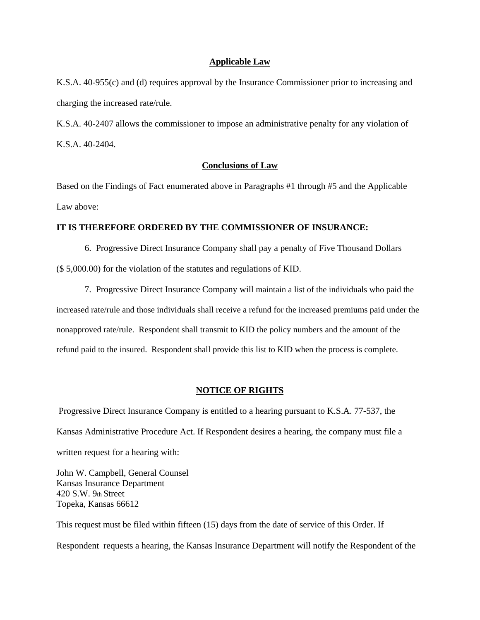#### **Applicable Law**

K.S.A. 40-955(c) and (d) requires approval by the Insurance Commissioner prior to increasing and charging the increased rate/rule.

K.S.A. 40-2407 allows the commissioner to impose an administrative penalty for any violation of K.S.A. 40-2404.

#### **Conclusions of Law**

Based on the Findings of Fact enumerated above in Paragraphs #1 through #5 and the Applicable Law above:

#### **IT IS THEREFORE ORDERED BY THE COMMISSIONER OF INSURANCE:**

 6. Progressive Direct Insurance Company shall pay a penalty of Five Thousand Dollars (\$ 5,000.00) for the violation of the statutes and regulations of KID.

 7. Progressive Direct Insurance Company will maintain a list of the individuals who paid the increased rate/rule and those individuals shall receive a refund for the increased premiums paid under the nonapproved rate/rule. Respondent shall transmit to KID the policy numbers and the amount of the refund paid to the insured. Respondent shall provide this list to KID when the process is complete.

#### **NOTICE OF RIGHTS**

 Progressive Direct Insurance Company is entitled to a hearing pursuant to K.S.A. 77-537, the Kansas Administrative Procedure Act. If Respondent desires a hearing, the company must file a written request for a hearing with:

John W. Campbell, General Counsel Kansas Insurance Department 420 S.W. 9th Street Topeka, Kansas 66612

This request must be filed within fifteen (15) days from the date of service of this Order. If Respondent requests a hearing, the Kansas Insurance Department will notify the Respondent of the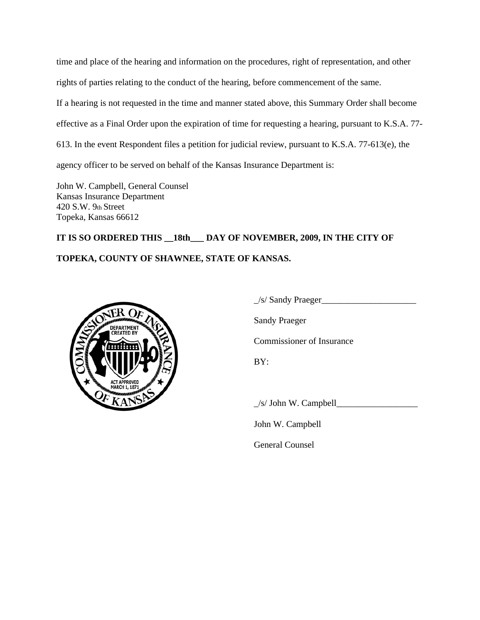time and place of the hearing and information on the procedures, right of representation, and other rights of parties relating to the conduct of the hearing, before commencement of the same. If a hearing is not requested in the time and manner stated above, this Summary Order shall become effective as a Final Order upon the expiration of time for requesting a hearing, pursuant to K.S.A. 77- 613. In the event Respondent files a petition for judicial review, pursuant to K.S.A. 77-613(e), the agency officer to be served on behalf of the Kansas Insurance Department is:

John W. Campbell, General Counsel Kansas Insurance Department 420 S.W. 9th Street Topeka, Kansas 66612

# **IT IS SO ORDERED THIS \_\_18th\_\_\_ DAY OF NOVEMBER, 2009, IN THE CITY OF TOPEKA, COUNTY OF SHAWNEE, STATE OF KANSAS.**



 $\angle$ s/ Sandy Praeger $\angle$ Sandy Praeger Commissioner of Insurance BY:  $\angle$ s/ John W. Campbell $\angle$ 

John W. Campbell

General Counsel